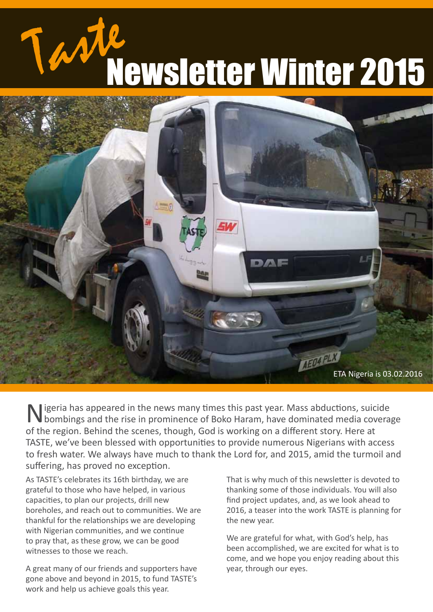ewsletter Winter 2015



Nigeria has appeared in the news many times this past year. Mass abductions, suicide bombings and the rise in prominence of Boko Haram, have dominated media coverage of the region. Behind the scenes, though, God is working on a different story. Here at TASTE, we've been blessed with opportunities to provide numerous Nigerians with access to fresh water. We always have much to thank the Lord for, and 2015, amid the turmoil and suffering, has proved no exception.

As TASTE's celebrates its 16th birthday, we are grateful to those who have helped, in various capacities, to plan our projects, drill new boreholes, and reach out to communities. We are thankful for the relationships we are developing with Nigerian communities, and we continue to pray that, as these grow, we can be good witnesses to those we reach.

A great many of our friends and supporters have gone above and beyond in 2015, to fund TASTE's work and help us achieve goals this year.

That is why much of this newsletter is devoted to thanking some of those individuals. You will also find project updates, and, as we look ahead to 2016, a teaser into the work TASTE is planning for the new year.

We are grateful for what, with God's help, has been accomplished, we are excited for what is to come, and we hope you enjoy reading about this year, through our eyes.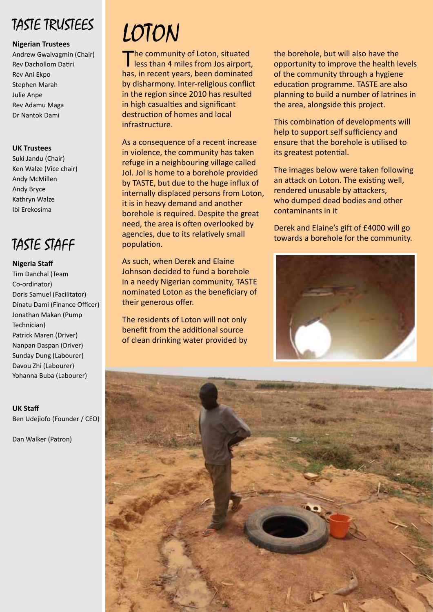### TASTE TRUSTEES

#### **Nigerian Trustees**

Andrew Gwaivagmin (Chair) Rev Dachollom Datiri Rev Ani Ekpo Stephen Marah Julie Anpe Rev Adamu Maga Dr Nantok Dami

#### **UK Trustees**

Suki Jandu (Chair) Ken Walze (Vice chair) Andy McMillen Andy Bryce Kathryn Walze Ibi Erekosima

### TASTE STAFF

#### **Nigeria Staff**

Tim Danchal (Team Co-ordinator) Doris Samuel (Facilitator) Dinatu Dami (Finance Officer) Jonathan Makan (Pump Technician) Patrick Maren (Driver) Nanpan Daspan (Driver) Sunday Dung (Labourer) Davou Zhi (Labourer) Yohanna Buba (Labourer)

**UK Staff** Ben Udejiofo (Founder / CEO)

Dan Walker (Patron)

# LOTON

The community of Loton, situated<br>less than 4 miles from Jos airport, has, in recent years, been dominated by disharmony. Inter-religious conflict in the region since 2010 has resulted in high casualties and significant destruction of homes and local infrastructure.

As a consequence of a recent increase in violence, the community has taken refuge in a neighbouring village called Jol. Jol is home to a borehole provided by TASTE, but due to the huge influx of internally displaced persons from Loton, it is in heavy demand and another borehole is required. Despite the great need, the area is often overlooked by agencies, due to its relatively small population.

As such, when Derek and Elaine Johnson decided to fund a borehole in a needy Nigerian community, TASTE nominated Loton as the beneficiary of their generous offer.

The residents of Loton will not only benefit from the additional source of clean drinking water provided by the borehole, but will also have the opportunity to improve the health levels of the community through a hygiene education programme. TASTE are also planning to build a number of latrines in the area, alongside this project.

This combination of developments will help to support self sufficiency and ensure that the borehole is utilised to its greatest potential.

The images below were taken following an attack on Loton. The existing well, rendered unusable by attackers, who dumped dead bodies and other contaminants in it

Derek and Elaine's gift of £4000 will go towards a borehole for the community.



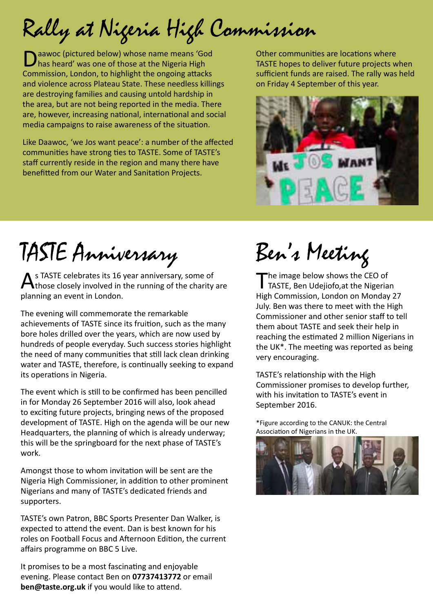Rally at Nigeria High Commission

Daawoc (pictured below) whose name means 'God has heard' was one of those at the Nigeria High Commission, London, to highlight the ongoing attacks and violence across Plateau State. These needless killings are destroying families and causing untold hardship in the area, but are not being reported in the media. There are, however, increasing national, international and social media campaigns to raise awareness of the situation.

Like Daawoc, 'we Jos want peace': a number of the affected communities have strong ties to TASTE. Some of TASTE's staff currently reside in the region and many there have benefitted from our Water and Sanitation Projects.

Other communities are locations where TASTE hopes to deliver future projects when sufficient funds are raised. The rally was held on Friday 4 September of this year.



# TASTE Anniversary

**As TASTE celebrates its 16 year anniversary, some of Athose closely involved in the US** those closely involved in the running of the charity are planning an event in London.

The evening will commemorate the remarkable achievements of TASTE since its fruition, such as the many bore holes drilled over the years, which are now used by hundreds of people everyday. Such success stories highlight the need of many communities that still lack clean drinking water and TASTE, therefore, is continually seeking to expand its operations in Nigeria.

The event which is still to be confirmed has been pencilled in for Monday 26 September 2016 will also, look ahead to exciting future projects, bringing news of the proposed development of TASTE. High on the agenda will be our new Headquarters, the planning of which is already underway; this will be the springboard for the next phase of TASTE's work.

Amongst those to whom invitation will be sent are the Nigeria High Commissioner, in addition to other prominent Nigerians and many of TASTE's dedicated friends and supporters.

TASTE's own Patron, BBC Sports Presenter Dan Walker, is expected to attend the event. Dan is best known for his roles on Football Focus and Afternoon Edition, the current affairs programme on BBC 5 Live.

It promises to be a most fascinating and enjoyable evening. Please contact Ben on **07737413772** or email **ben@taste.org.uk** if you would like to attend.

# Ben's Meeting

 $\blacksquare$  he image below shows the CEO of TASTE, Ben Udejiofo, at the Nigerian High Commission, London on Monday 27 July. Ben was there to meet with the High Commissioner and other senior staff to tell them about TASTE and seek their help in reaching the estimated 2 million Nigerians in the UK\*. The meeting was reported as being very encouraging.

TASTE's relationship with the High Commissioner promises to develop further, with his invitation to TASTE's event in September 2016.

\*Figure according to the CANUK: the Central Association of Nigerians in the UK.

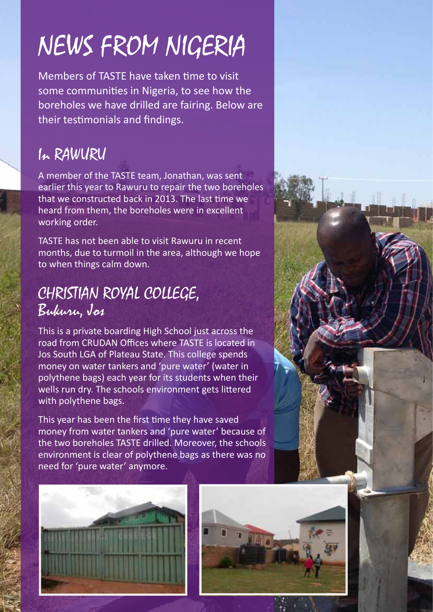# NEWS FROM NIGERIA

Members of TASTE have taken time to visit some communities in Nigeria, to see how the boreholes we have drilled are fairing. Below are their testimonials and findings.

### In RAWURU

A member of the TASTE team, Jonathan, was sent earlier this year to Rawuru to repair the two boreholes that we constructed back in 2013. The last time we heard from them, the boreholes were in excellent working order.

TASTE has not been able to visit Rawuru in recent months, due to turmoil in the area, although we hope to when things calm down.

### CHRISTIAN ROYAL COLLEGE, Bukuru, Jos

This is a private boarding High School just across the road from CRUDAN Offices where TASTE is located in Jos South LGA of Plateau State. This college spends money on water tankers and 'pure water' (water in polythene bags) each year for its students when their wells run dry. The schools environment gets littered with polythene bags.

This year has been the first time they have saved money from water tankers and 'pure water' because of the two boreholes TASTE drilled. Moreover, the schools environment is clear of polythene bags as there was no need for 'pure water' anymore.

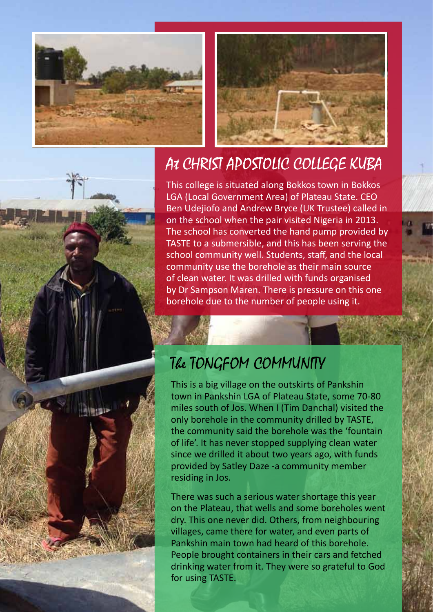



### At CHRIST APOSTOLIC COLLEGE KUBA

This college is situated along Bokkos town in Bokkos LGA (Local Government Area) of Plateau State. CEO Ben Udejiofo and Andrew Bryce (UK Trustee) called in on the school when the pair visited Nigeria in 2013. The school has converted the hand pump provided by TASTE to a submersible, and this has been serving the school community well. Students, staff, and the local community use the borehole as their main source of clean water. It was drilled with funds organised by Dr Sampson Maren. There is pressure on this one borehole due to the number of people using it.

### The TONGFOM COMMUNITY

This is a big village on the outskirts of Pankshin town in Pankshin LGA of Plateau State, some 70-80 miles south of Jos. When I (Tim Danchal) visited the only borehole in the community drilled by TASTE, the community said the borehole was the 'fountain of life'. It has never stopped supplying clean water since we drilled it about two years ago, with funds provided by Satley Daze -a community member residing in Jos.

There was such a serious water shortage this year on the Plateau, that wells and some boreholes went dry. This one never did. Others, from neighbouring villages, came there for water, and even parts of Pankshin main town had heard of this borehole. People brought containers in their cars and fetched drinking water from it. They were so grateful to God for using TASTE.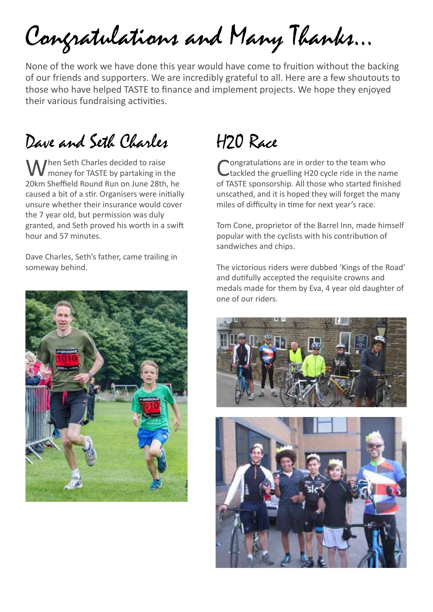Congratulations and Many Thanks…

None of the work we have done this year would have come to fruition without the backing of our friends and supporters. We are incredibly grateful to all. Here are a few shoutouts to those who have helped TASTE to finance and implement projects. We hope they enjoyed their various fundraising activities.

### Dave and Seth Charles

When Seth Charles decided to raise<br>
W money for TASTE by partaking in the 20km Sheffield Round Run on June 28th, he caused a bit of a stir. Organisers were initially unsure whether their insurance would cover the 7 year old, but permission was duly granted, and Seth proved his worth in a swift hour and 57 minutes.

Dave Charles, Seth's father, came trailing in someway behind.



## H20 Race

ongratulations are in order to the team who tackled the gruelling H20 cycle ride in the name of TASTE sponsorship. All those who started finished unscathed, and it is hoped they will forget the many miles of difficulty in time for next year's race.

Tom Cone, proprietor of the Barrel Inn, made himself popular with the cyclists with his contribution of sandwiches and chips.

The victorious riders were dubbed 'Kings of the Road' and dutifully accepted the requisite crowns and medals made for them by Eva, 4 year old daughter of one of our riders.



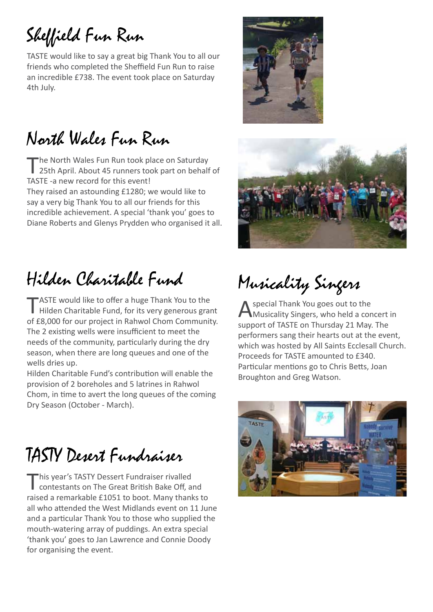## Sheffield Fun Run

TASTE would like to say a great big Thank You to all our friends who completed the Sheffield Fun Run to raise an incredible £738. The event took place on Saturday 4th July.

## North Wales Fun Run

The North Wales Fun Run took place on Saturday<br>25th April. About 45 runners took part on behalf of TASTE -a new record for this event! They raised an astounding £1280; we would like to say a very big Thank You to all our friends for this incredible achievement. A special 'thank you' goes to Diane Roberts and Glenys Prydden who organised it all.

## Hilden Charitable Fund

TASTE would like to offer a huge Thank You to the<br>Hilden Charitable Fund, for its very generous grant of £8,000 for our project in Rahwol Chom Community. The 2 existing wells were insufficient to meet the needs of the community, particularly during the dry season, when there are long queues and one of the wells dries up.

Hilden Charitable Fund's contribution will enable the provision of 2 boreholes and 5 latrines in Rahwol Chom, in time to avert the long queues of the coming Dry Season (October - March).

## TASTY Desert Fundraiser

This year's TASTY Dessert Fundraiser rivalled<br>
contestants on The Great British Bake Off, and raised a remarkable £1051 to boot. Many thanks to all who attended the West Midlands event on 11 June and a particular Thank You to those who supplied the mouth-watering array of puddings. An extra special 'thank you' goes to Jan Lawrence and Connie Doody for organising the event.





## Musicality Singers

A special Thank You goes out to the<br>Musicality Singers, who held a concert in support of TASTE on Thursday 21 May. The performers sang their hearts out at the event, which was hosted by All Saints Ecclesall Church. Proceeds for TASTE amounted to £340. Particular mentions go to Chris Betts, Joan Broughton and Greg Watson.